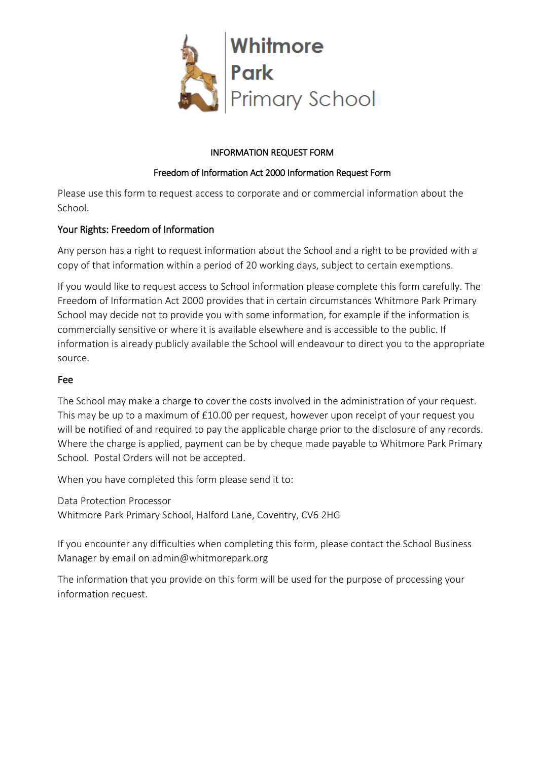

## INFORMATION REQUEST FORM

## Freedom of Information Act 2000 Information Request Form

Please use this form to request access to corporate and or commercial information about the School.

# Your Rights: Freedom of Information

Any person has a right to request information about the School and a right to be provided with a copy of that information within a period of 20 working days, subject to certain exemptions.

If you would like to request access to School information please complete this form carefully. The Freedom of Information Act 2000 provides that in certain circumstances Whitmore Park Primary School may decide not to provide you with some information, for example if the information is commercially sensitive or where it is available elsewhere and is accessible to the public. If information is already publicly available the School will endeavour to direct you to the appropriate source.

# Fee

The School may make a charge to cover the costs involved in the administration of your request. This may be up to a maximum of £10.00 per request, however upon receipt of your request you will be notified of and required to pay the applicable charge prior to the disclosure of any records. Where the charge is applied, payment can be by cheque made payable to Whitmore Park Primary School. Postal Orders will not be accepted.

When you have completed this form please send it to:

Data Protection Processor Whitmore Park Primary School, Halford Lane, Coventry, CV6 2HG

If you encounter any difficulties when completing this form, please contact the School Business Manager by email on admin@whitmorepark.org

The information that you provide on this form will be used for the purpose of processing your information request.